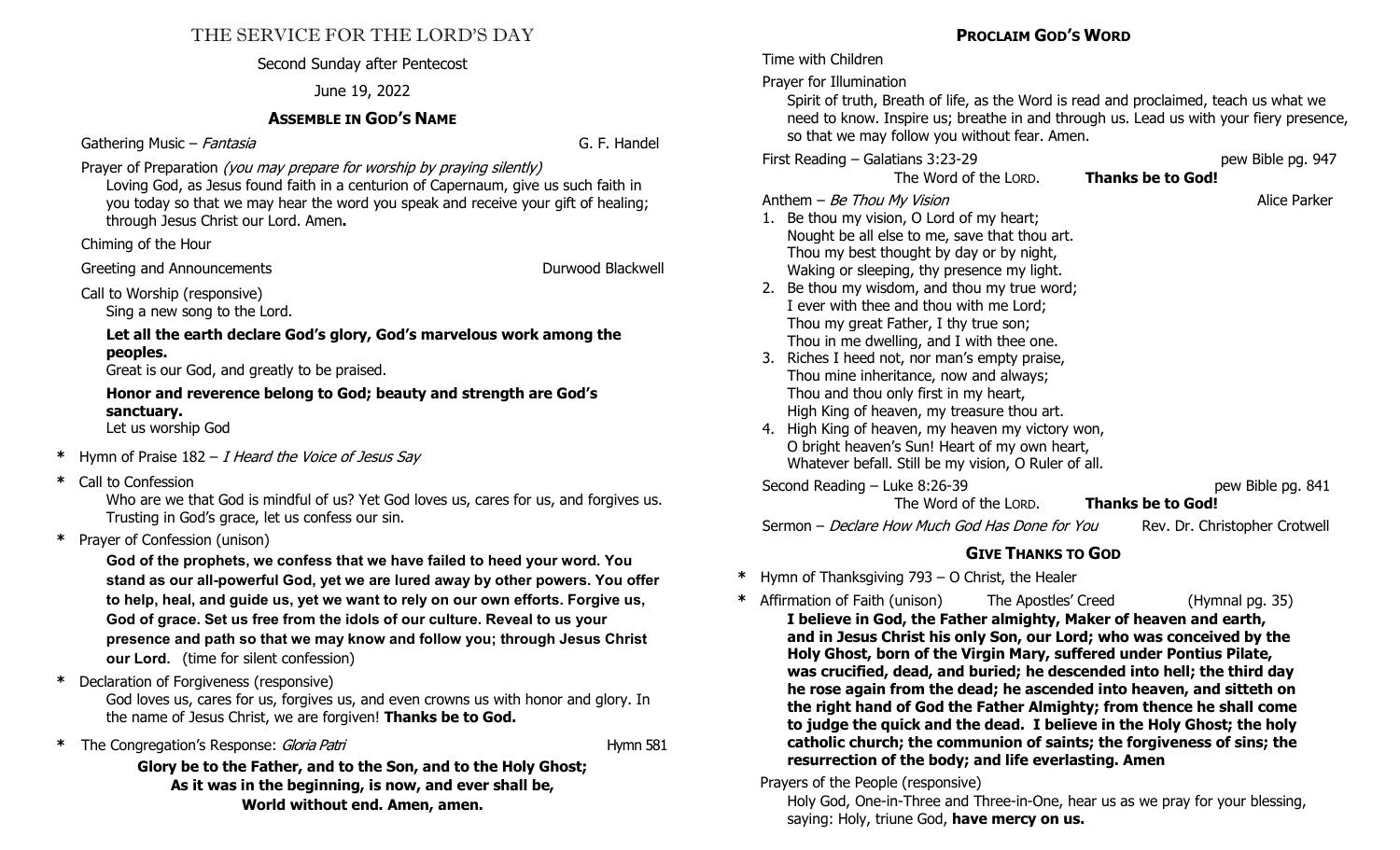#### THE SERVICE FOR THE LORD'S DAY

#### Second Sunday after Pentecost

#### June 19, 2022

#### **ASSEMBLE IN GOD'S NAME**

Gathering Music – *Fantasia* G. F. Handel

Prayer of Preparation (you may prepare for worship by praying silently)

Loving God, as Jesus found faith in a centurion of Capernaum, give us such faith in you today so that we may hear the word you speak and receive your gift of healing; through Jesus Christ our Lord. Amen**.** 

Chiming of the Hour

Greeting and Announcements **Containers** Durwood Blackwell

Call to Worship (responsive)

Sing a new song to the Lord.

**Let all the earth declare God's glory, God's marvelous work among the peoples.** 

Great is our God, and greatly to be praised.

**Honor and reverence belong to God; beauty and strength are God's sanctuary.** 

Let us worship God

- **\*** Hymn of Praise 182 I Heard the Voice of Jesus Say
- **\*** Call to Confession

Who are we that God is mindful of us? Yet God loves us, cares for us, and forgives us. Trusting in God's grace, let us confess our sin.

**\*** Prayer of Confession (unison)

**God of the prophets, we confess that we have failed to heed your word. You stand as our all-powerful God, yet we are lured away by other powers. You offer to help, heal, and guide us, yet we want to rely on our own efforts. Forgive us, God of grace. Set us free from the idols of our culture. Reveal to us your presence and path so that we may know and follow you; through Jesus Christ our Lord.** (time for silent confession)

**\*** Declaration of Forgiveness (responsive)

God loves us, cares for us, forgives us, and even crowns us with honor and glory. In the name of Jesus Christ, we are forgiven! **Thanks be to God.**

\* The Congregation's Response: *Gloria Patri* Hymnus Hymnus Hymnus Hymnus Hymnus Hymnus Hymnus Hymnus Hymnus Hymnus Hymnus Hymnus Hymnus Hymnus Hymnus Hymnus Hymnus Hymnus Hymnus Hymnus Hymnus Hymnus Hymnus Hymnus Hymnus H

**Glory be to the Father, and to the Son, and to the Holy Ghost; As it was in the beginning, is now, and ever shall be, World without end. Amen, amen.**

#### **PROCLAIM GOD'S WORD**

Time with Children

Prayer for Illumination

Spirit of truth, Breath of life, as the Word is read and proclaimed, teach us what we need to know. Inspire us; breathe in and through us. Lead us with your fiery presence, so that we may follow you without fear. Amen.

First Reading – Galatians 3:23-29<br>The Word of the LORD. **Thanks be to God!** The Word of the LORD. **Thanks be to God!** 

The Word of the LORD.

Anthem – Be Thou My Vision Alice Parker

- 1. Be thou my vision, O Lord of my heart; Nought be all else to me, save that thou art. Thou my best thought by day or by night, Waking or sleeping, thy presence my light.
- 2. Be thou my wisdom, and thou my true word; I ever with thee and thou with me Lord; Thou my great Father, I thy true son; Thou in me dwelling, and I with thee one.
- 3. Riches I heed not, nor man's empty praise, Thou mine inheritance, now and always; Thou and thou only first in my heart, High King of heaven, my treasure thou art.
- 4. High King of heaven, my heaven my victory won, O bright heaven's Sun! Heart of my own heart, Whatever befall. Still be my vision, O Ruler of all.

Second Reading – Luke 8:26-39 pew Bible pg. 841 The Word of the LORD.

Sermon – Declare How Much God Has Done for You Rev. Dr. Christopher Crotwell

#### **GIVE THANKS TO GOD**

**\*** Hymn of Thanksgiving 793 – O Christ, the Healer

**\*** Affirmation of Faith (unison) The Apostles' Creed (Hymnal pg. 35) **I believe in God, the Father almighty, Maker of heaven and earth, and in Jesus Christ his only Son, our Lord; who was conceived by the Holy Ghost, born of the Virgin Mary, suffered under Pontius Pilate, was crucified, dead, and buried; he descended into hell; the third day he rose again from the dead; he ascended into heaven, and sitteth on the right hand of God the Father Almighty; from thence he shall come to judge the quick and the dead. I believe in the Holy Ghost; the holy catholic church; the communion of saints; the forgiveness of sins; the resurrection of the body; and life everlasting. Amen** 

#### Prayers of the People (responsive)

Holy God, One-in-Three and Three-in-One, hear us as we pray for your blessing, saying: Holy, triune God, **have mercy on us.**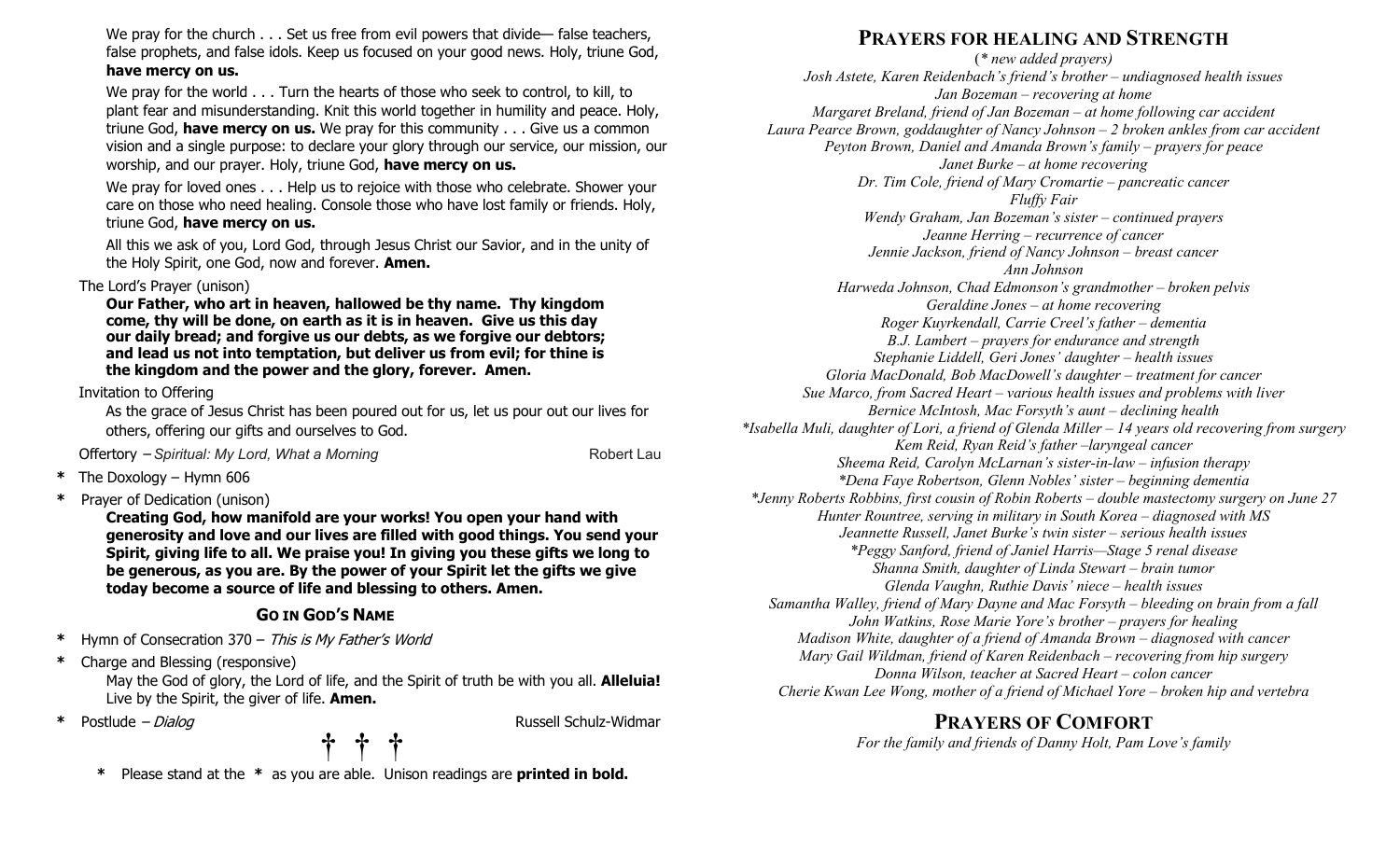We pray for the church . . . Set us free from evil powers that divide— false teachers, false prophets, and false idols. Keep us focused on your good news. Holy, triune God, **have mercy on us.** 

We pray for the world . . . Turn the hearts of those who seek to control, to kill, to plant fear and misunderstanding. Knit this world together in humility and peace. Holy, triune God, **have mercy on us.** We pray for this community . . . Give us a common vision and a single purpose: to declare your glory through our service, our mission, our worship, and our prayer. Holy, triune God, **have mercy on us.** 

We pray for loved ones . . . Help us to rejoice with those who celebrate. Shower your care on those who need healing. Console those who have lost family or friends. Holy, triune God, **have mercy on us.** 

All this we ask of you, Lord God, through Jesus Christ our Savior, and in the unity of the Holy Spirit, one God, now and forever. **Amen.**

#### The Lord's Prayer (unison)

**Our Father, who art in heaven, hallowed be thy name. Thy kingdom come, thy will be done, on earth as it is in heaven. Give us this day our daily bread; and forgive us our debts, as we forgive our debtors; and lead us not into temptation, but deliver us from evil; for thine is the kingdom and the power and the glory, forever. Amen.**

#### Invitation to Offering

As the grace of Jesus Christ has been poured out for us, let us pour out our lives for others, offering our gifts and ourselves to God.

Offertory – *Spiritual: My Lord, What a Morning* example a set of the Robert Lau

- **\*** The Doxology Hymn 606
- **\*** Prayer of Dedication (unison)

**Creating God, how manifold are your works! You open your hand with generosity and love and our lives are filled with good things. You send your Spirit, giving life to all. We praise you! In giving you these gifts we long to be generous, as you are. By the power of your Spirit let the gifts we give today become a source of life and blessing to others. Amen.**

#### **GO IN GOD'S NAME**

- **\*** Hymn of Consecration 370 This is My Father's World
- **\*** Charge and Blessing (responsive)

 May the God of glory, the Lord of life, and the Spirit of truth be with you all. **Alleluia!**  Live by the Spirit, the giver of life. **Amen.**

**\*** Postlude – Dialog Russell Schulz-Widmar

# **† † †**

**\*** Please stand at the **\*** as you are able. Unison readings are **printed in bold.**

### **PRAYERS FOR HEALING AND STRENGTH**

(*\* new added prayers) Josh Astete, Karen Reidenbach's friend's brother – undiagnosed health issues Jan Bozeman – recovering at home Margaret Breland, friend of Jan Bozeman – at home following car accident Laura Pearce Brown, goddaughter of Nancy Johnson – 2 broken ankles from car accident Peyton Brown, Daniel and Amanda Brown's family – prayers for peace Janet Burke – at home recovering Dr. Tim Cole, friend of Mary Cromartie – pancreatic cancer Fluffy Fair Wendy Graham, Jan Bozeman's sister – continued prayers Jeanne Herring – recurrence of cancer Jennie Jackson, friend of Nancy Johnson – breast cancer Ann Johnson Harweda Johnson, Chad Edmonson's grandmother – broken pelvis Geraldine Jones – at home recovering Roger Kuyrkendall, Carrie Creel's father – dementia B.J. Lambert – prayers for endurance and strength Stephanie Liddell, Geri Jones' daughter – health issues Gloria MacDonald, Bob MacDowell's daughter – treatment for cancer Sue Marco, from Sacred Heart – various health issues and problems with liver Bernice McIntosh, Mac Forsyth's aunt – declining health \*Isabella Muli, daughter of Lori, a friend of Glenda Miller – 14 years old recovering from surgery Kem Reid, Ryan Reid's father –laryngeal cancer Sheema Reid, Carolyn McLarnan's sister-in-law – infusion therapy \*Dena Faye Robertson, Glenn Nobles' sister – beginning dementia \*Jenny Roberts Robbins, first cousin of Robin Roberts – double mastectomy surgery on June 27 Hunter Rountree, serving in military in South Korea – diagnosed with MS Jeannette Russell, Janet Burke's twin sister – serious health issues \*Peggy Sanford, friend of Janiel Harris—Stage 5 renal disease Shanna Smith, daughter of Linda Stewart – brain tumor Glenda Vaughn, Ruthie Davis' niece – health issues Samantha Walley, friend of Mary Dayne and Mac Forsyth – bleeding on brain from a fall John Watkins, Rose Marie Yore's brother – prayers for healing Madison White, daughter of a friend of Amanda Brown – diagnosed with cancer Mary Gail Wildman, friend of Karen Reidenbach – recovering from hip surgery Donna Wilson, teacher at Sacred Heart – colon cancer Cherie Kwan Lee Wong, mother of a friend of Michael Yore – broken hip and vertebra* 

#### **PRAYERS OF COMFORT**

*For the family and friends of Danny Holt, Pam Love's family*